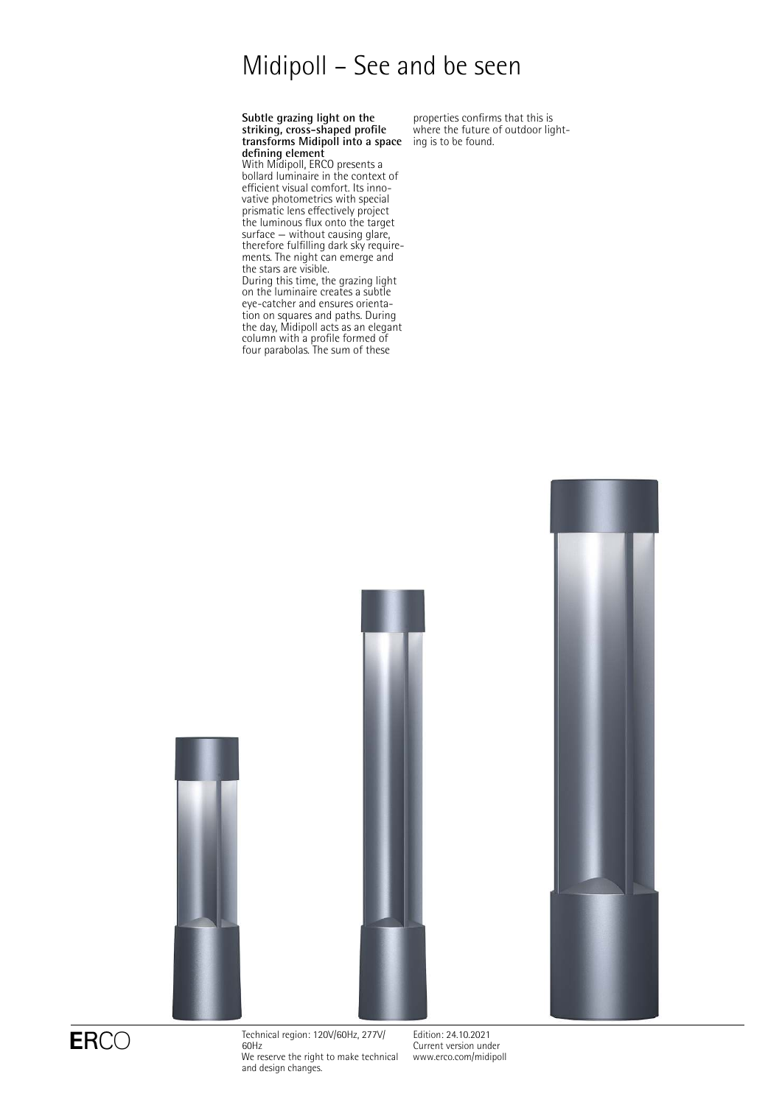# Midipoll – See and be seen

#### **Subtle grazing light on the striking, cross-shaped profile transforms Midipoll into a space defining element**

With Midipoll, ERCO presents a bollard luminaire in the context of efficient visual comfort. Its innovative photometrics with special prismatic lens effectively project the luminous flux onto the target surface — without causing glare, therefore fulfilling dark sky requirements. The night can emerge and the stars are visible.

During this time, the grazing light on the luminaire creates a subtle eye-catcher and ensures orientation on squares and paths. During the day, Midipoll acts as an elegant column with a profile formed of four parabolas. The sum of these

properties confirms that this is where the future of outdoor lighting is to be found.





ERCO<br>
Fechnical region: 120V/60Hz, 277V/ 60Hz We reserve the right to make technical and design changes.

Edition: 24.10.2021 Current version under [www.erco.com/midipoll](http://www.erco.com/midipoll)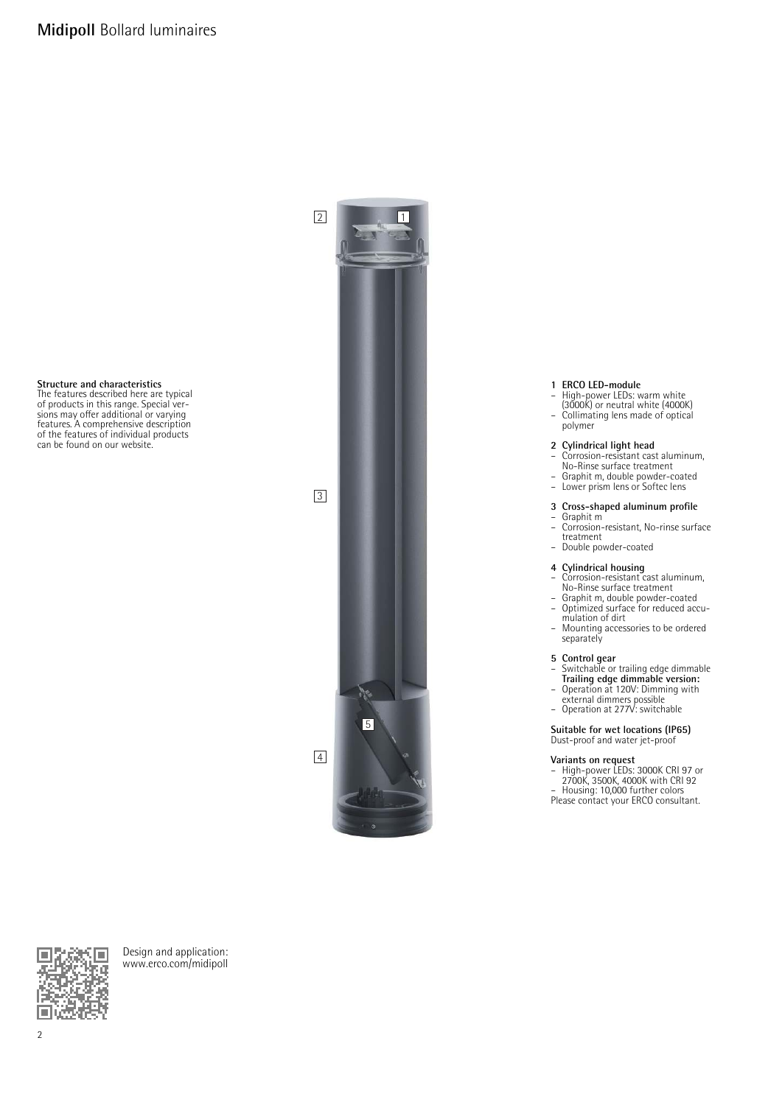## **Structure and characteristics**

The features described here are typical of products in this range. Special versions may offer additional or varying features. A comprehensive description of the features of individual products can be found on our website.



- **1 ERCO LED-module** High-power LEDs: warm white (3000K) or neutral white (4000K)
- Collimating lens made of optical
- polymer

## **2 Cylindrical light head** – Corrosion-resistant cast aluminum,

- No-Rinse surface treatment
- Graphit m, double powder-coated Lower prism lens or Softec lens
- 

#### **3 Cross-shaped aluminum profile**

- Graphit m Corrosion-resistant, No-rinse surface treatment
- Double powder-coated

### **4 Cylindrical housing**

- Corrosion-resistant cast aluminum,
- No-Rinse surface treatment Graphit m, double powder-coated Optimized surface for reduced accumulation of dirt
- Mounting accessories to be ordered separately

## **5 Control gear**

- Switchable or trailing edge dimmable **Trailing edge dimmable version:** Operation at 120V: Dimming with
- external dimmers possible
- Operation at 277V: switchable

### **Suitable for wet locations (IP65)**

Dust-proof and water jet-proof

**Variants on request** – High-power LEDs: 3000K CRI 97 or 2700K, 3500K, 4000K with CRI 92 – Housing: 10,000 further colors Please contact your ERCO consultant.



Design and application: [www.erco.com/midipoll](http://www.erco.com/midipoll)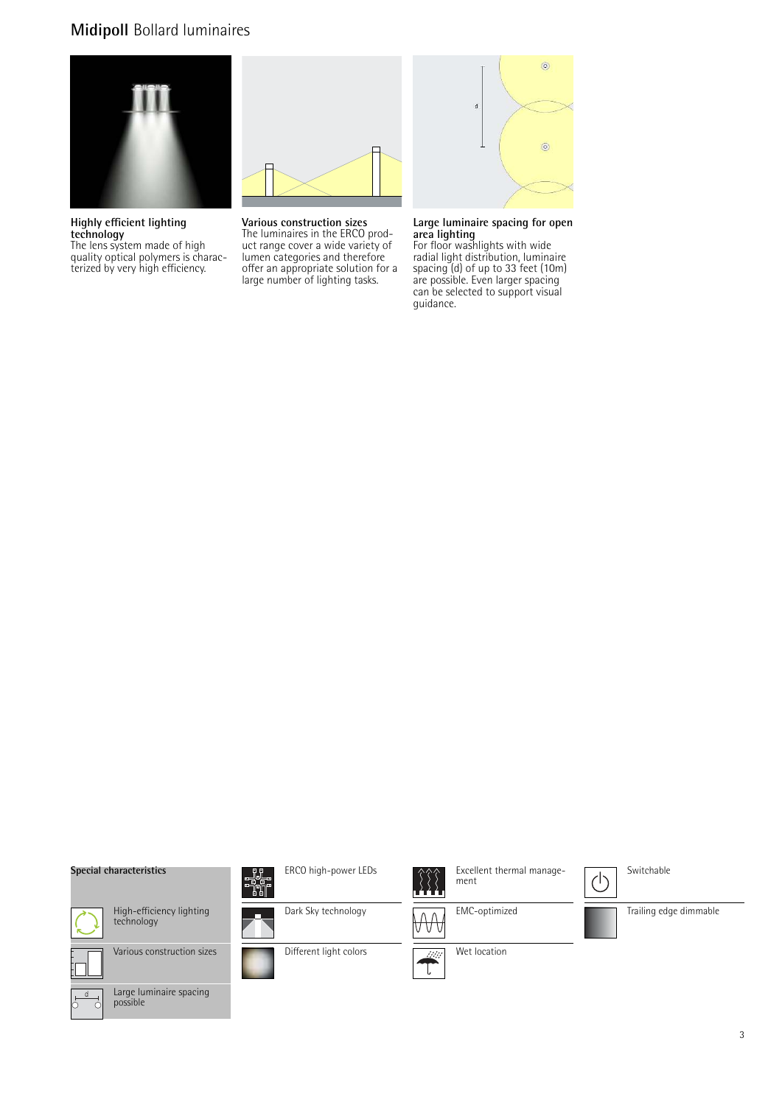## **Midipoll** Bollard luminaires



**Highly efficient lighting technology**

The lens system made of high quality optical polymers is characterized by very high efficiency.



**Various construction sizes** The luminaires in the ERCO product range cover a wide variety of lumen categories and therefore offer an appropriate solution for a large number of lighting tasks.



**Large luminaire spacing for open area lighting**

For floor washlights with wide radial light distribution, luminaire spacing (d) of up to 33 feet (10m) are possible. Even larger spacing can be selected to support visual guidance.

#### **Special characteristics**



High-efficiency lighting technology









Dark Sky technology

- 1.

Different light colors

I.



Excellent thermal management

EMC-optimized W







 $\bigcirc$ 

Trailing edge dimmable



Large luminaire spacing possible



Wet location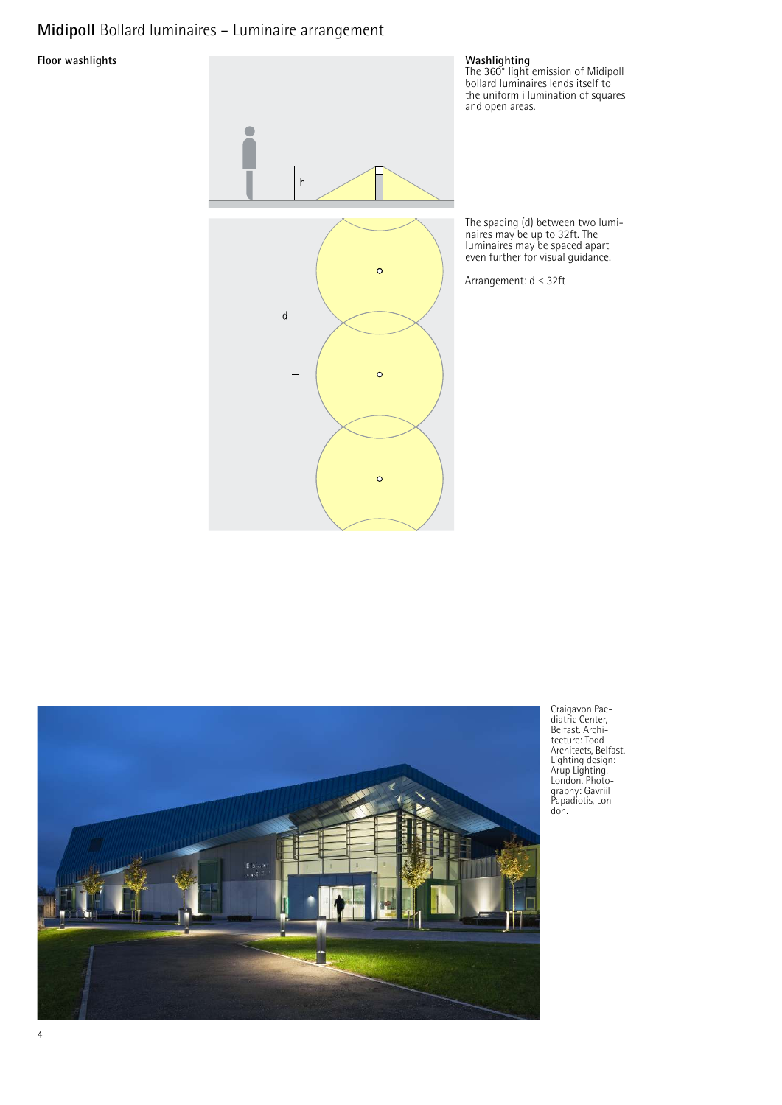## **Midipoll** Bollard luminaires – Luminaire arrangement

**Floor washlights** 





Craigavon Pae-diatric Center, Belfast. Archi-tecture: Todd Architects, Belfast. Lighting design: Arup Lighting, London. Photo-graphy: Gavriil Papadiotis, Lon-don.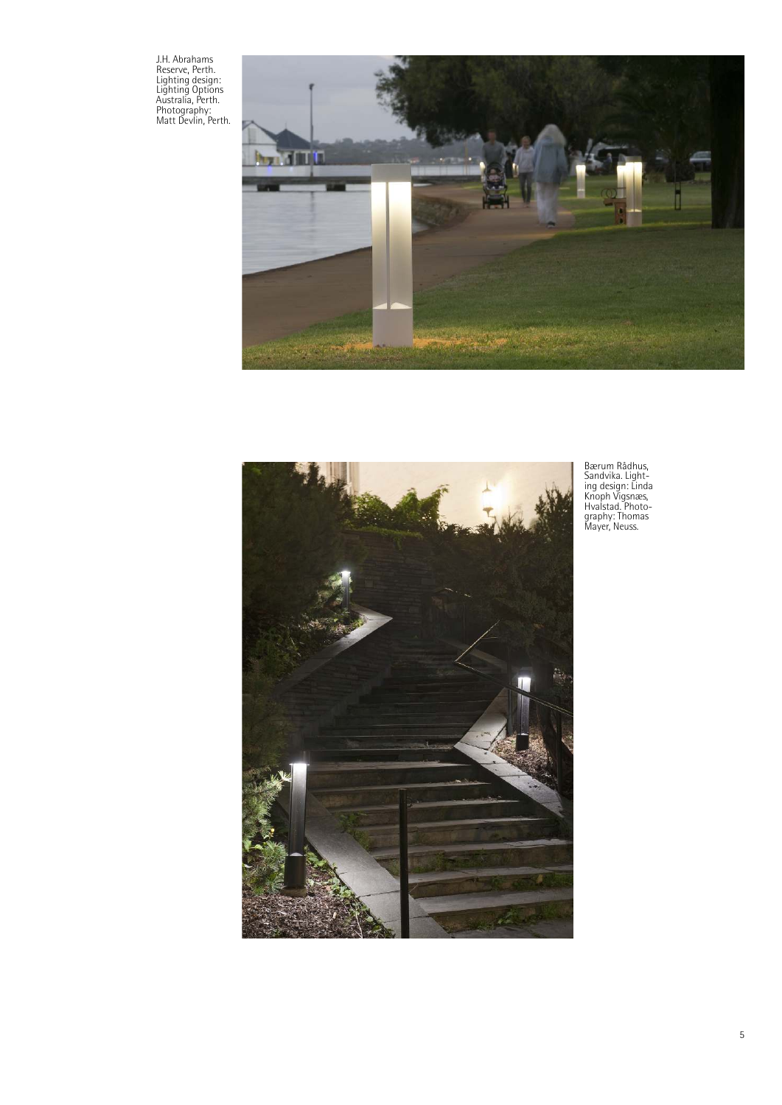J.H. Abrahams Reserve, Perth. Lighting design: Lighting Options Australia, Perth. Photography: Matt Devlin, Perth.





Bærum Rådhus, Sandvika. Light-ing design: Linda Knoph Vigsnæs, Hvalstad. Photo-graphy: Thomas Mayer, Neuss.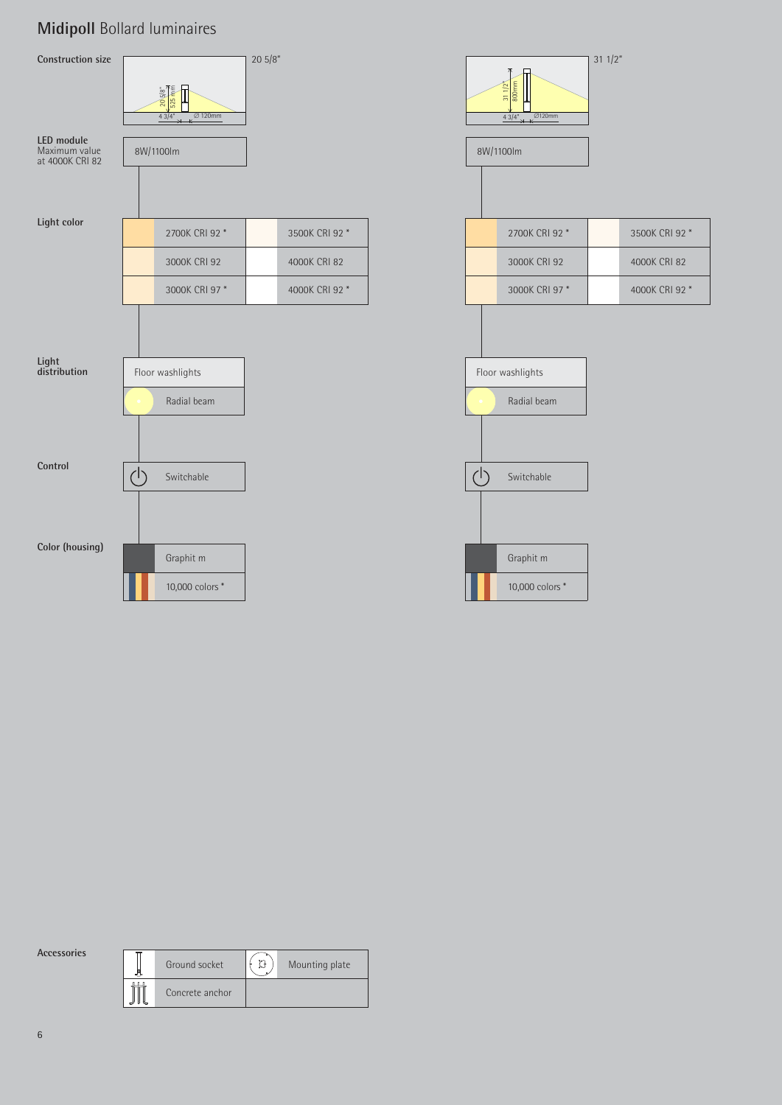## **Midipoll** Bollard luminaires



|  |  | Accessories |
|--|--|-------------|
|  |  |             |
|  |  |             |

| Ground socket   | m | Mounting plate |
|-----------------|---|----------------|
| Concrete anchor |   |                |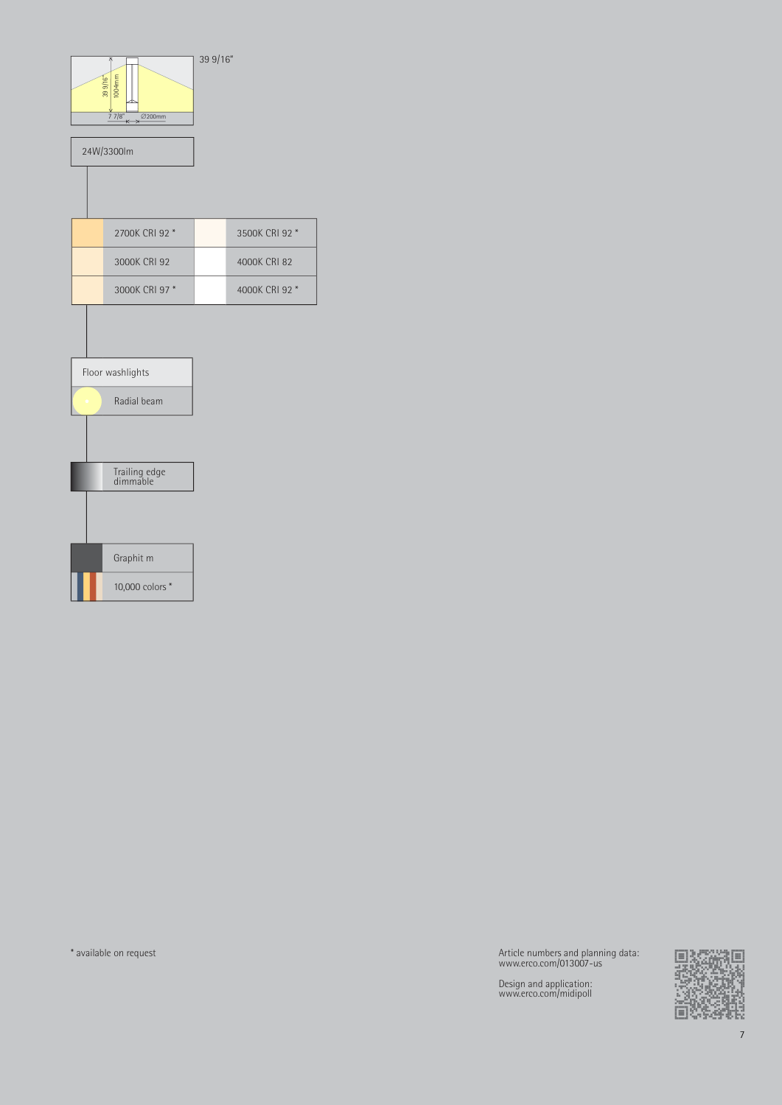

\* available on request Article numbers and planning data: www.erco.com/013007-us

Design and application: www.erco.com/midipoll